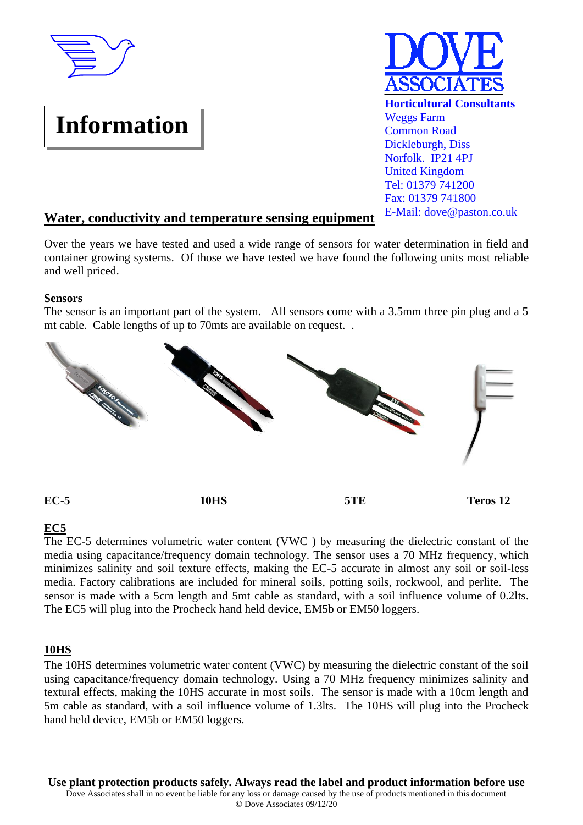

# **Information**



## **Water, conductivity and temperature sensing equipment**

Over the years we have tested and used a wide range of sensors for water determination in field and container growing systems. Of those we have tested we have found the following units most reliable and well priced.

#### **Sensors**

The sensor is an important part of the system. All sensors come with a 3.5mm three pin plug and a 5 mt cable. Cable lengths of up to 70mts are available on request. .



#### **EC5**

The EC-5 determines volumetric water content (VWC ) by measuring the dielectric constant of the media using capacitance/frequency domain technology. The sensor uses a 70 MHz frequency, which minimizes salinity and soil texture effects, making the EC-5 accurate in almost any soil or soil-less media. Factory calibrations are included for mineral soils, potting soils, rockwool, and perlite. The sensor is made with a 5cm length and 5mt cable as standard, with a soil influence volume of 0.2lts. The EC5 will plug into the Procheck hand held device, EM5b or EM50 loggers.

## **10HS**

The 10HS determines volumetric water content (VWC) by measuring the dielectric constant of the soil using capacitance/frequency domain technology. Using a 70 MHz frequency minimizes salinity and textural effects, making the 10HS accurate in most soils. The sensor is made with a 10cm length and 5m cable as standard, with a soil influence volume of 1.3lts. The 10HS will plug into the Procheck hand held device, EM5b or EM50 loggers.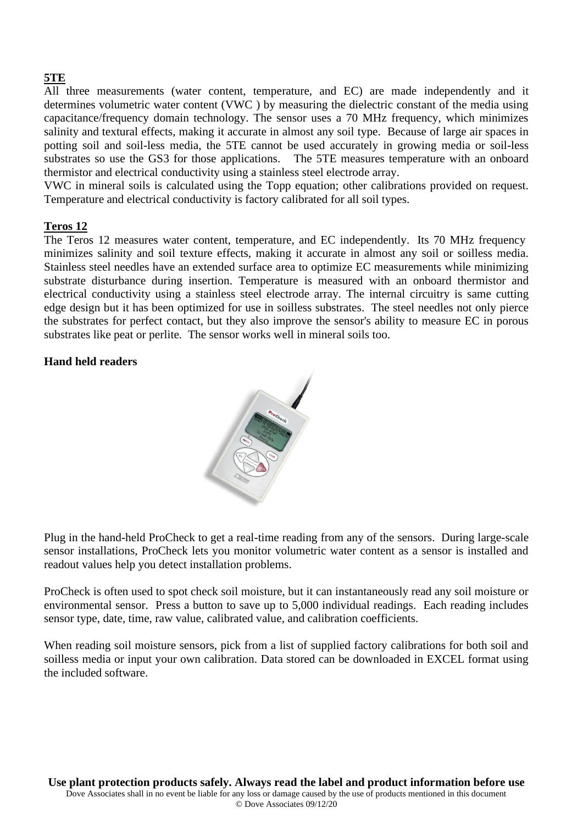# **5TE**

All three measurements (water content, temperature, and EC) are made independently and it determines volumetric water content (VWC ) by measuring the dielectric constant of the media using capacitance/frequency domain technology. The sensor uses a 70 MHz frequency, which minimizes salinity and textural effects, making it accurate in almost any soil type. Because of large air spaces in potting soil and soil-less media, the 5TE cannot be used accurately in growing media or soil-less substrates so use the GS3 for those applications. The 5TE measures temperature with an onboard thermistor and electrical conductivity using a stainless steel electrode array.

VWC in mineral soils is calculated using the Topp equation; other calibrations provided on request. Temperature and electrical conductivity is factory calibrated for all soil types.

#### **Teros 12**

The Teros 12 measures water content, temperature, and EC independently. Its 70 MHz frequency minimizes salinity and soil texture effects, making it accurate in almost any soil or soilless media. Stainless steel needles have an extended surface area to optimize EC measurements while minimizing substrate disturbance during insertion. Temperature is measured with an onboard thermistor and electrical conductivity using a stainless steel electrode array. The internal circuitry is same cutting edge design but it has been optimized for use in soilless substrates. The steel needles not only pierce the substrates for perfect contact, but they also improve the sensor's ability to measure EC in porous substrates like peat or perlite. The sensor works well in mineral soils too.

#### **Hand held readers**



Plug in the hand-held ProCheck to get a real-time reading from any of the sensors. During large-scale sensor installations, ProCheck lets you monitor volumetric water content as a sensor is installed and readout values help you detect installation problems.

ProCheck is often used to spot check soil moisture, but it can instantaneously read any soil moisture or environmental sensor. Press a button to save up to 5,000 individual readings. Each reading includes sensor type, date, time, raw value, calibrated value, and calibration coefficients.

When reading soil moisture sensors, pick from a list of supplied factory calibrations for both soil and soilless media or input your own calibration. Data stored can be downloaded in EXCEL format using the included software.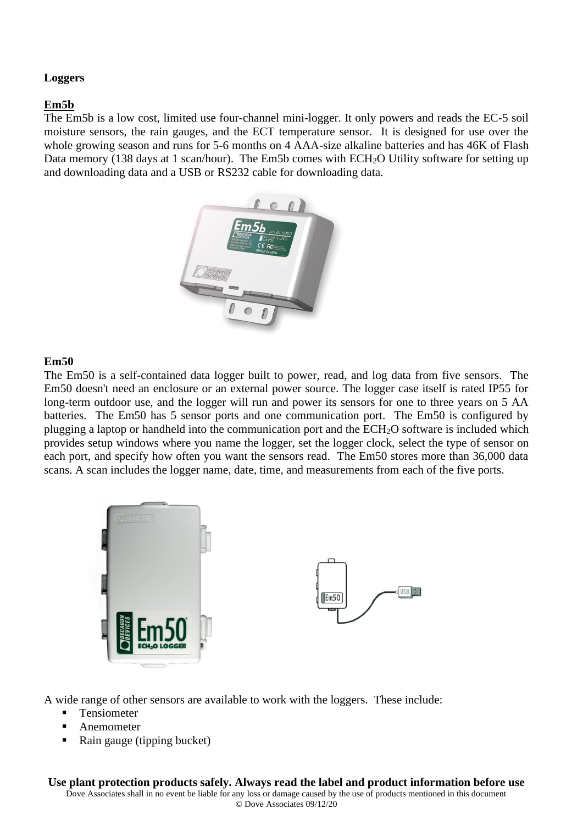#### **Loggers**

#### **Em5b**

The Em5b is a low cost, limited use four-channel mini-logger. It only powers and reads the EC-5 soil moisture sensors, the rain gauges, and the ECT temperature sensor. It is designed for use over the whole growing season and runs for 5-6 months on 4 AAA-size alkaline batteries and has 46K of Flash Data memory (138 days at 1 scan/hour). The Em5b comes with ECH<sub>2</sub>O Utility software for setting up and downloading data and a USB or RS232 cable for downloading data.



#### **Em50**

The Em50 is a self-contained data logger built to power, read, and log data from five sensors. The Em50 doesn't need an enclosure or an external power source. The logger case itself is rated IP55 for long-term outdoor use, and the logger will run and power its sensors for one to three years on 5 AA batteries. The Em50 has 5 sensor ports and one communication port. The Em50 is configured by plugging a laptop or handheld into the communication port and the ECH2O software is included which provides setup windows where you name the logger, set the logger clock, select the type of sensor on each port, and specify how often you want the sensors read. The Em50 stores more than 36,000 data scans. A scan includes the logger name, date, time, and measurements from each of the five ports.



A wide range of other sensors are available to work with the loggers. These include:

- **Tensiometer**
- **Anemometer**
- Rain gauge (tipping bucket)